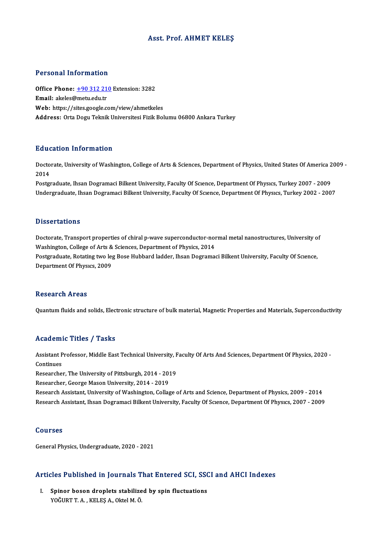#### Asst. Prof. AHMET KELEŞ

#### Personal Information

Personal Information<br>Office Phone: <u>+90 312 210</u> Extension: 3282<br>Email: akaka@matu.edu.tr Fersonar micromation<br>Office Phone: <u>+90 312 21</u><br>Email: akeles[@metu.edu.tr](tel:+90 312 210) Office Phone: <u>+90 312 210</u> Extension: 3282<br>Email: akeles@metu.edu.tr<br>Web: https://sites.google.com/view/ahmetkeles<br>Addressy Orta Degu Telmik Universites.Figik Pel Email: akeles@metu.edu.tr<br>Web: https://sites.google.com/view/ahmetkeles<br>Address: Orta Dogu Teknik Universitesi Fizik Bolumu 06800 Ankara Turkey

#### Education Information

**Education Information**<br>Doctorate, University of Washington, College of Arts & Sciences, Department of Physics, United States Of America 2009 -<br>2014 But<br>Docto<br>2014<br><sup>Bosto</sup> Doctorate, University of Washington, College of Arts & Sciences, Department of Physics, United States Of America 2<br>2014<br>Postgraduate, Ihsan Dogramaci Bilkent University, Faculty Of Science, Department Of Physics, Turkey 20

2014<br>Postgraduate, Ihsan Dogramaci Bilkent University, Faculty Of Scıence, Department Of Physıcs, Turkey 2007 - 2009<br>Undergraduate, Ihsan Dogramaci Bilkent University, Faculty Of Scıence, Department Of Physıcs, Turkey 2002

#### **Dissertations**

Dissertations<br>Doctorate, Transport properties of chiral p-wave superconductor-normal metal nanostructures, University of<br>Weshington, Collage of Arta & Sciences, Department of Physics, 2014. Washer carrons<br>Doctorate, Transport properties of chiral p-wave superconductor-nor<br>Washington, College of Arts & Sciences, Department of Physics, 2014<br>Postanoduate, Potating two log Bose Hubbard lodden, Ibean Degrame Doctorate, Transport properties of chiral p-wave superconductor-normal metal nanostructures, University o<br>Washington, College of Arts & Sciences, Department of Physics, 2014<br>Postgraduate, Rotating two leg Bose Hubbard ladd Washington, College of Arts &<br>Postgraduate, Rotating two le<sub>i</sub><br>Department Of Physıcs, 2009 **Department Of Physics, 2009<br>Research Areas** 

Quantum fluids and solids, Electronic structure of bulk material, Magnetic Properties and Materials, Superconductivity

### Academic Titles / Tasks

Academic Titles / Tasks<br>Assistant Professor, Middle East Technical University, Faculty Of Arts And Sciences, Department Of Physics, 2020 -<br>Continues Assistant P<br>Continues<br>Pessarshe Assistant Professor, Middle East Technical University, F<br>Continues<br>Researcher, The University of Pittsburgh, 2014 - 2019<br>Researcher, Cearge Mason University, 2014 - 2019

Continues<br>Researcher, The University of Pittsburgh, 2014 - 2019<br>Researcher, George Mason University, 2014 - 2019

Research Assistant, University of Washington, Collage of Arts and Science, Department of Physics, 2009 - 2014 Research Assistant, Ihsan Dogramaci Bilkent University, Faculty Of Science, Department Of Physics, 2007 - 2009

#### Courses

GeneralPhysics,Undergraduate,2020 -2021

# ueneral Physics, Undergraduate, 2020 - 2021<br>Articles Published in Journals That Entered SCI, SSCI and AHCI Indexes

rticles Published in Journals That Entered SCI, SS(<br>I. Spinor boson droplets stabilized by spin fluctuations<br>VOČUPT A. KELES A. Obtel M.Ö. Spinor boson droplets stabilized by spin fluctuations<br>YOĞURT T. A., KELEŞ A., Oktel M. Ö.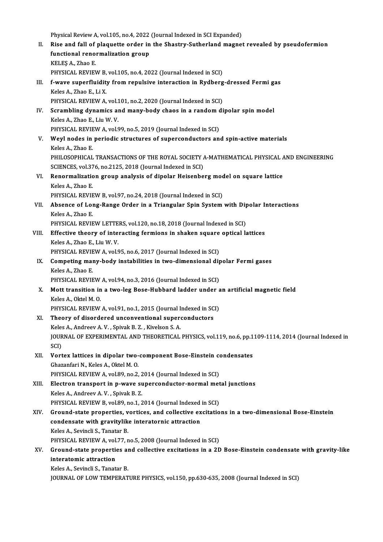Physical Review A, vol.105, no.4, 2022 (Journal Indexed in SCI Expanded)<br>Pise and fall of plaquette ender in the Shastuy Sutherland magnet

II. Rise and fall of plaquette order in the Shastry-Sutherland magnet revealed by pseudofermion<br>functional renormalization group Physical Review A, vol.105, no.4, 2022<br>Rise and fall of plaquette order in<br>functional renormalization group KELEŞA.,Zhao E. functional renormalization group<br>KELEŞ A., Zhao E.<br>PHYSICAL REVIEW B, vol.105, no.4, 2022 (Journal Indexed in SCI)<br>f wave superfluidity from repulsive interaction in Bydberg KELEŞ A., Zhao E.<br>PHYSICAL REVIEW B, vol.105, no.4, 2022 (Journal Indexed in SCI)<br>III. f-wave superfluidity from repulsive interaction in Rydberg-dressed Fermi gas<br>Keles A. Zhao E. Li Y. PHYSICAL REVIEW B,<br>**f-wave superfluidit**<br>Keles A., Zhao E., Li X.<br>PHYSICAL PEVIEW A f-wave superfluidity from repulsive interaction in Rydberg<br>Keles A., Zhao E., Li X.<br>PHYSICAL REVIEW A, vol.101, no.2, 2020 (Journal Indexed in SCI)<br>Serembling dunamies and many body chaos in a random di Keles A., Zhao E., Li X.<br>PHYSICAL REVIEW A, vol.101, no.2, 2020 (Journal Indexed in SCI)<br>IV. Scrambling dynamics and many-body chaos in a random dipolar spin model<br>Keles A. Zhao E. Liu W. V. PHYSICAL REVIEW A, vol.1<br>Scrambling dynamics an<br>Keles A., Zhao E., Liu W. V.<br>PHYSICAL PEVIEW A vol.6 Scrambling dynamics and many-body chaos in a random of<br>Keles A., Zhao E., Liu W. V.<br>PHYSICAL REVIEW A, vol.99, no.5, 2019 (Journal Indexed in SCI)<br>Weyl podes in poriodis structures of supersonductors on Keles A., Zhao E., Liu W. V.<br>PHYSICAL REVIEW A, vol.99, no.5, 2019 (Journal Indexed in SCI)<br>V. Weyl nodes in periodic structures of superconductors and spin-active materials<br>Keles A., Zhao E. PHYSICAL REVIEW A, vol.99, no.5, 2019 (Journal Indexed in SCI) Weyl nodes in periodic structures of superconductors and spin-active materials<br>Keles A., Zhao E.<br>PHILOSOPHICAL TRANSACTIONS OF THE ROYAL SOCIETY A-MATHEMATICAL PHYSICAL AND ENGINEERING<br>SCIENCES vel 376, no.2125, 2018 (Jour Keles A., Zhao E.<br>PHILOSOPHICAL TRANSACTIONS OF THE ROYAL SOCIETY A<br>SCIENCES, vol.376, no.2125, 2018 (Journal Indexed in SCI)<br>Renermalization group analysis of dinelar Heisenhe PHILOSOPHICAL TRANSACTIONS OF THE ROYAL SOCIETY A-MATHEMATICAL PHYSICAL A<br>SCIENCES, vol.376, no.2125, 2018 (Journal Indexed in SCI)<br>VI. Renormalization group analysis of dipolar Heisenberg model on square lattice<br>Keles A. SCIENCES, vol.376, no.2125, 2018 (Journal Indexed in SCI)<br>Renormalization group analysis of dipolar Heisenberg moo<br>Keles A., Zhao E.<br>PHYSICAL REVIEW B, vol.97, no.24, 2018 (Journal Indexed in SCI) Renormalization group analysis of dipolar Heisenberg mod<br>Keles A., Zhao E.<br>PHYSICAL REVIEW B, vol.97, no.24, 2018 (Journal Indexed in SCI)<br>Abeense of Long Bange Order in a Triangular Spin System. Keles A., Zhao E.<br>PHYSICAL REVIEW B, vol.97, no.24, 2018 (Journal Indexed in SCI)<br>VII. Absence of Long-Range Order in a Triangular Spin System with Dipolar Interactions<br>Keles A. Zhao E PHYSICAL REVIE<br>Absence of Loi<br>Keles A., Zhao E.<br>PHYSICAL PEVIE Absence of Long-Range Order in a Triangular Spin System with Dip<br>Keles A., Zhao E.<br>PHYSICAL REVIEW LETTERS, vol.120, no.18, 2018 (Journal Indexed in SCI)<br>Effective theory of interacting formions in shaken square ontical k Keles A., Zhao E.<br>PHYSICAL REVIEW LETTERS, vol.120, no.18, 2018 (Journal Indexed in SCI)<br>VIII. Effective theory of interacting fermions in shaken square optical lattices<br>Keles A., Zhao E., Liu W. V. PHYSICAL REVIEW LETTERS, vol.120, no.18, 2018 (Journal Indexed in SCI) Effective theory of interacting fermions in shaken square<br>Keles A., Zhao E., Liu W. V.<br>PHYSICAL REVIEW A, vol.95, no.6, 2017 (Journal Indexed in SCI)<br>Competing many body instabilities in two dimensional dir Keles A., Zhao E., Liu W. V.<br>PHYSICAL REVIEW A, vol.95, no.6, 2017 (Journal Indexed in SCI)<br>IX. Competing many-body instabilities in two-dimensional dipolar Fermi gases<br>Kelse A. Zhao E PHYSICAL REVIE<br>Competing mai<br>Keles A., Zhao E.<br>PHYSICAL PEVIE Competing many-body instabilities in two-dimensional dip<br>Keles A., Zhao E.<br>PHYSICAL REVIEW A, vol.94, no.3, 2016 (Journal Indexed in SCI)<br>Mett transition in a two-leg Bose-Hubbard ledder under a Keles A., Zhao E.<br>PHYSICAL REVIEW A, vol.94, no.3, 2016 (Journal Indexed in SCI)<br>X. Mott transition in a two-leg Bose-Hubbard ladder under an artificial magnetic field<br>Keles A. Oltel M. O. PHYSICAL REVIEW A, vol.94, no.3, 2016 (Journal Indexed in SCI)<br>Mott transition in a two-leg Bose-Hubbard ladder under a<br>Keles A., Oktel M. O. Mott transition in a two-leg Bose-Hubbard ladder under a<br>Keles A., Oktel M. O.<br>PHYSICAL REVIEW A, vol.91, no.1, 2015 (Journal Indexed in SCI)<br>Theory of disordared unconventional supersenductors PHYSICAL REVIEW A, vol.91, no.1, 2015 (Journal Indexed in SCI)<br>XI. Theory of disordered unconventional superconductors PHYSICAL REVIEW A, vol.91, no.1, 2015 (Journal I<br>Theory of disordered unconventional super<br>Keles A., Andreev A. V. , Spivak B. Z. , Kivelson S. A.<br>JOUPMAL OF EVPERIMENTAL AND THEOPETICAL Theory of disordered unconventional superconductors<br>Keles A., Andreev A. V. , Spivak B. Z. , Kivelson S. A.<br>JOURNAL OF EXPERIMENTAL AND THEORETICAL PHYSICS, vol.119, no.6, pp.1109-1114, 2014 (Journal Indexed in<br>SCD Kele:<br>JOUR<br>SCI)<br>Vort JOURNAL OF EXPERIMENTAL AND THEORETICAL PHYSICS, vol.119, no.6, pp.1<br>SCI)<br>XII. Vortex lattices in dipolar two-component Bose-Einstein condensates<br>Charanfari N. Kalas A. Oltal M.O. SCI)<br>Vortex lattices in dipolar two-<br>Ghazanfari N., Keles A., Oktel M. O.<br>PHYSICAL PEVIEW A. vol 80, no 3 Vortex lattices in dipolar two-component Bose-Einstein contained in Sciperia and Sciperia and Sciperia and Sci<br>PHYSICAL REVIEW A, vol.89, no.2, 2014 (Journal Indexed in SCI)<br>Flestren transport in a ways supersenductor norm Ghazanfari N., Keles A., Oktel M. O.<br>PHYSICAL REVIEW A, vol.89, no.2, 2014 (Journal Indexed in SCI)<br>XIII. Electron transport in p-wave superconductor-normal metal junctions<br>Koles A. Andreev A. V. Spivek B. 7. PHYSICAL REVIEW A, vol.89, no.2, 2<br>Electron transport in p-wave su<br>Keles A., Andreev A. V. , Spivak B. Z.<br>PHYSICAL PEVIEW B. vol.89, no.1, 2 Electron transport in p-wave superconductor-normal met<br>Keles A., Andreev A.V. , Spivak B. Z.<br>PHYSICAL REVIEW B, vol.89, no.1, 2014 (Journal Indexed in SCI)<br>Cround state proporties, vertises, and sellective excitation Keles A., Andreev A. V. , Spivak B. Z.<br>PHYSICAL REVIEW B, vol.89, no.1, 2014 (Journal Indexed in SCI)<br>XIV. Ground-state properties, vortices, and collective excitations in a two-dimensional Bose-Einstein PHYSICAL REVIEW B, vol.89, no.1, 2014 (Journal Indexed<br>Ground-state properties, vortices, and collective ex<br>condensate with gravitylike interatornic attraction<br>Kelss A. Sevineli S. Tanatar P. Ground-state properties, v<br>condensate with gravitylik<br>Keles A., Sevincli S., Tanatar B.<br>BHYSICAL BEVIEW A. vol.77. r condensate with gravitylike interatornic attraction<br>Keles A., Sevincli S., Tanatar B.<br>PHYSICAL REVIEW A, vol.77, no.5, 2008 (Journal Indexed in SCI)<br>Cround state proporties and sellestive evaitations in a 2P Keles A., Sevincli S., Tanatar B.<br>PHYSICAL REVIEW A, vol.77, no.5, 2008 (Journal Indexed in SCI)<br>XV. Ground-state properties and collective excitations in a 2D Bose-Einstein condensate with gravity-like<br>interatemic attr PHYSICAL REVIEW A, vol.77, no.5, 2008 (Journal Indexed in SCI)<br>Ground-state properties and collective excitations in a 2I<br>interatomic attraction<br>Keles A., Sevincli S., Tanatar B. Ground-state properties al<br>interatomic attraction<br>Keles A., Sevincli S., Tanatar B.<br>JOUPMAL OF LOW TEMPERAT JOURNAL OF LOW TEMPERATURE PHYSICS, vol.150, pp.630-635, 2008 (Journal Indexed in SCI)